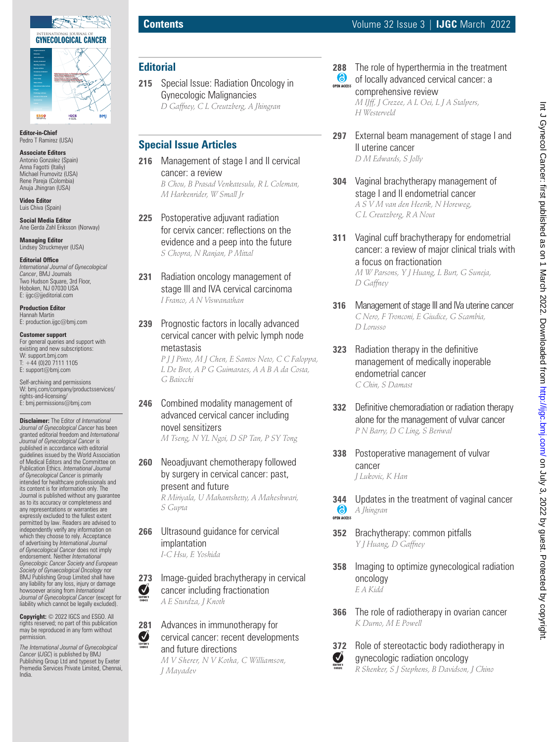

**Editor-in-Chief** Pedro T Ramirez (USA)

**Associate Editors** Antonio Gonzalez (Spain) Anna Fagotti (Italiy) Michael Frumovitz (USA) Rene Pareja (Colombia) Anuja Jhingran (USA)

**Video Editor** Luis Chiva (Spain)

**Social Media Editor** Ane Gerda Zahl Eriksson (Norway)

**Managing Editor** Lindsey Struckmeyer (USA)

#### **Editorial Office**

*International Journal of Gynecological Cancer*, BMJ Journals Two Hudson Square, 3rd Floor, Hoboken, NJ 07030 USA E: ijgc@jjeditorial.com

**Production Editor** Hannah Martin E: production.ijgc@bmj.com

**Customer support** For general queries and support with existing and new subscriptions: W: support.bmj.com  $T: +44(0)2071111105$ E: support@bmj.com

Self-archiving and permissions W: bmj.com/company/productsservices/ rights-and-licensing/ E: bmj.permissions@bmj.com

**Disclaimer:** The Editor of *International Journal of Gynecological Cancer* has been granted editorial freedom and *International Journal of Gynecological Cancer* is published in accordance with editorial guidelines issued by the World Association of Medical Editors and the Committee on Publication Ethics. *International Journal of Gynecological Cancer* is primarily intended for healthcare professionals and its content is for information only. The Journal is published without any guarantee as to its accuracy or completeness and any representations or warranties are expressly excluded to the fullest extent permitted by law. Readers are advised to independently verify any information on which they choose to rely. Acceptance of advertising by *International Journal of Gynecological Cancer* does not imply endorsement. Neither *International Gynecologic Cancer Society and European Society of Gynaecological Oncology* nor BMJ Publishing Group Limited shall have any liability for any loss, injury or damage howsoever arising from *International Journal of Gynecological Cancer* (except for liability which cannot be legally excluded).

**Copyright:** © 2022 IGCS and ESGO. All rights reserved; no part of this publication may be reproduced in any form without permission.

*The International Journal of Gynecological Cancer* (*IJGC*) is published by BMJ Publishing Group Ltd and typeset by Exeter Premedia Services Private Limited, Chennai, India.

## **Editorial**

**215** Special Issue: Radiation Oncology in Gynecologic Malignancies *D Gaffney, C L Creutzberg, A Jhingran*

### **Special Issue Articles**

- **216** Management of stage I and II cervical cancer: a review *B Chou, B Prasad Venkatesulu, R L Coleman, M Harkenrider, W Small Jr*
- **225** Postoperative adjuvant radiation for cervix cancer: reflections on the evidence and a peep into the future *S Chopra, N Ranjan, P Mittal*
- **231** Radiation oncology management of stage III and IVA cervical carcinoma *I Franco, A N Viswanathan*
- **239** Prognostic factors in locally advanced cervical cancer with pelvic lymph node metastasis

*P J J Pinto, M J Chen, E Santos Neto, C C Faloppa, L De Brot, A P G Guimaraes, A A B A da Costa, G Baiocchi*

- **246** Combined modality management of advanced cervical cancer including novel sensitizers *M Tseng, N YL Ngoi, D SP Tan, P SY Tong*
- **260** Neoadjuvant chemotherapy followed by surgery in cervical cancer: past, present and future *R Miriyala, U Mahantshetty, A Maheshwari,*

*S Gupta*

**266** Ultrasound guidance for cervical implantation *I-C Hsu, E Yoshida*

**273** Image-guided brachytherapy in cervical<br>cancer including fractionation cancer including fractionation *A E Sturdza, J Knoth*

**281** Advances in immunotherapy for Ø cervical cancer: recent developments and future directions *M V Sherer, N V Kotha, C Williamson, J Mayadev*

**288** The role of hyperthermia in the treatment<br> **C** of locally advanced cervical cancer: a of locally advanced cervical cancer: a **OPEN ACCESS** comprehensive review

*M IJff, J Crezee, A L Oei, L J A Stalpers, H Westerveld*

- **297** External beam management of stage I and II uterine cancer *D M Edwards, S Jolly*
- **304** Vaginal brachytherapy management of stage I and II endometrial cancer *A S V M van den Heerik, N Horeweg, C L Creutzberg, R A Nout*
- **311** Vaginal cuff brachytherapy for endometrial cancer: a review of major clinical trials with a focus on fractionation *M W Parsons, Y J Huang, L Burt, G Suneja, D Gaffney*
- **316** Management of stage III and IVa uterine cancer *C Nero, F Tronconi, E Giudice, G Scambia, D Lorusso*
- **323** Radiation therapy in the definitive management of medically inoperable endometrial cancer *C Chin, S Damast*
- **332** Definitive chemoradiation or radiation therapy alone for the management of vulvar cancer *P N Barry, D C Ling, S Beriwal*
- **338** Postoperative management of vulvar cancer *J Lukovic, K Han*
- **344** Updates in the treatment of vaginal cancer<br> **6** A *Ihingran A Jhingran* OPEN ACCESS
- **352** Brachytherapy: common pitfalls *Y J Huang, D Gaffney*
- **358** Imaging to optimize gynecological radiation oncology *E A Kidd*
- **366** The role of radiotherapy in ovarian cancer *K Durno, M E Powell*



# **372** Role of stereotactic body radiotherapy in gynecologic radiation oncology

*R Shenker, S J Stephens, B Davidson, J Chino*